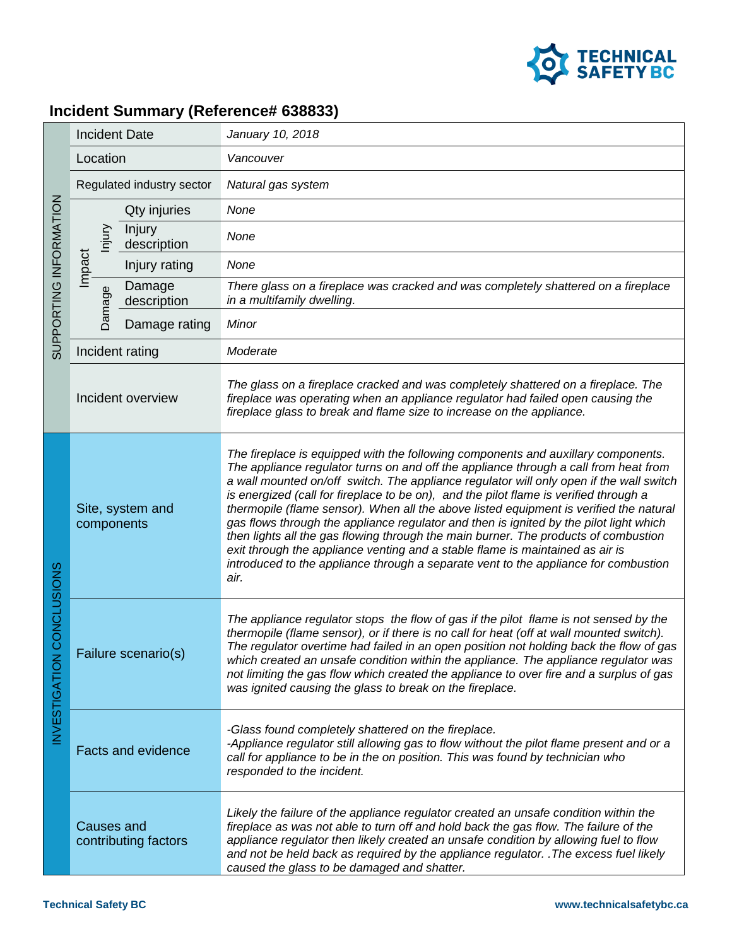

## **Incident Summary (Reference# 638833)**

| SUPPORTING INFORMATION                    | <b>Incident Date</b>           |                       | January 10, 2018                                                                                                                                                                                                                                                                                                                                                                                                                                                                                                                                                                                                                                                                                                                                                                                                         |
|-------------------------------------------|--------------------------------|-----------------------|--------------------------------------------------------------------------------------------------------------------------------------------------------------------------------------------------------------------------------------------------------------------------------------------------------------------------------------------------------------------------------------------------------------------------------------------------------------------------------------------------------------------------------------------------------------------------------------------------------------------------------------------------------------------------------------------------------------------------------------------------------------------------------------------------------------------------|
|                                           | Location                       |                       | Vancouver                                                                                                                                                                                                                                                                                                                                                                                                                                                                                                                                                                                                                                                                                                                                                                                                                |
|                                           | Regulated industry sector      |                       | Natural gas system                                                                                                                                                                                                                                                                                                                                                                                                                                                                                                                                                                                                                                                                                                                                                                                                       |
|                                           | Nniu<br>Impact<br>Damage       | Qty injuries          | None                                                                                                                                                                                                                                                                                                                                                                                                                                                                                                                                                                                                                                                                                                                                                                                                                     |
|                                           |                                | Injury<br>description | None                                                                                                                                                                                                                                                                                                                                                                                                                                                                                                                                                                                                                                                                                                                                                                                                                     |
|                                           |                                | Injury rating         | None                                                                                                                                                                                                                                                                                                                                                                                                                                                                                                                                                                                                                                                                                                                                                                                                                     |
|                                           |                                | Damage<br>description | There glass on a fireplace was cracked and was completely shattered on a fireplace<br>in a multifamily dwelling.                                                                                                                                                                                                                                                                                                                                                                                                                                                                                                                                                                                                                                                                                                         |
|                                           |                                | Damage rating         | Minor                                                                                                                                                                                                                                                                                                                                                                                                                                                                                                                                                                                                                                                                                                                                                                                                                    |
|                                           | Incident rating                |                       | Moderate                                                                                                                                                                                                                                                                                                                                                                                                                                                                                                                                                                                                                                                                                                                                                                                                                 |
|                                           | Incident overview              |                       | The glass on a fireplace cracked and was completely shattered on a fireplace. The<br>fireplace was operating when an appliance regulator had failed open causing the<br>fireplace glass to break and flame size to increase on the appliance.                                                                                                                                                                                                                                                                                                                                                                                                                                                                                                                                                                            |
| <b>CONCLUSIONS</b><br><b>INVESTIGATIO</b> | Site, system and<br>components |                       | The fireplace is equipped with the following components and auxillary components.<br>The appliance regulator turns on and off the appliance through a call from heat from<br>a wall mounted on/off switch. The appliance regulator will only open if the wall switch<br>is energized (call for fireplace to be on), and the pilot flame is verified through a<br>thermopile (flame sensor). When all the above listed equipment is verified the natural<br>gas flows through the appliance regulator and then is ignited by the pilot light which<br>then lights all the gas flowing through the main burner. The products of combustion<br>exit through the appliance venting and a stable flame is maintained as air is<br>introduced to the appliance through a separate vent to the appliance for combustion<br>air. |
|                                           | Failure scenario(s)            |                       | The appliance regulator stops the flow of gas if the pilot flame is not sensed by the<br>thermopile (flame sensor), or if there is no call for heat (off at wall mounted switch).<br>The regulator overtime had failed in an open position not holding back the flow of gas<br>which created an unsafe condition within the appliance. The appliance regulator was<br>not limiting the gas flow which created the appliance to over fire and a surplus of gas<br>was ignited causing the glass to break on the fireplace.                                                                                                                                                                                                                                                                                                |
|                                           | <b>Facts and evidence</b>      |                       | -Glass found completely shattered on the fireplace.<br>-Appliance regulator still allowing gas to flow without the pilot flame present and or a<br>call for appliance to be in the on position. This was found by technician who<br>responded to the incident.                                                                                                                                                                                                                                                                                                                                                                                                                                                                                                                                                           |
|                                           | <b>Causes and</b>              | contributing factors  | Likely the failure of the appliance regulator created an unsafe condition within the<br>fireplace as was not able to turn off and hold back the gas flow. The failure of the<br>appliance regulator then likely created an unsafe condition by allowing fuel to flow<br>and not be held back as required by the appliance regulator. . The excess fuel likely<br>caused the glass to be damaged and shatter.                                                                                                                                                                                                                                                                                                                                                                                                             |